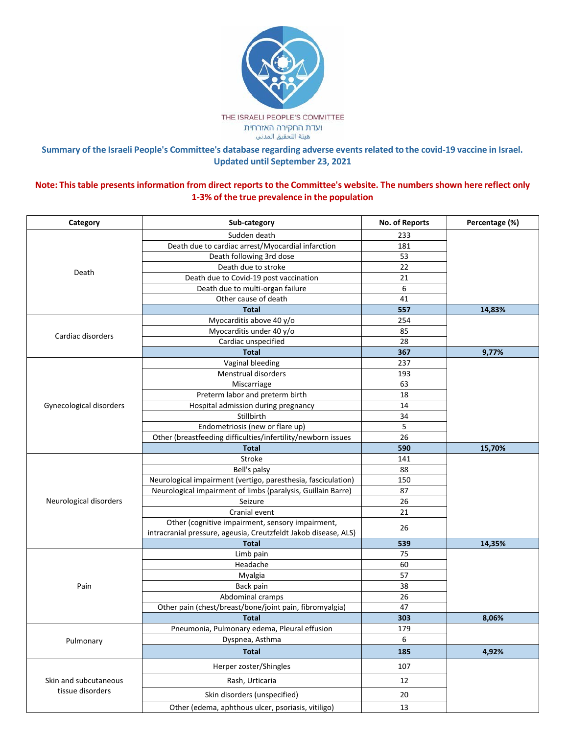

## Summary of the Israeli People's Committee's database regarding adverse events related to the covid-19 vaccine in Israel. **Updated until September 23, 2021**

## Note: This table presents information from direct reports to the Committee's website. The numbers shown here reflect only **1-3% of the true prevalence in the population**

| Category                                  | Sub-category                                                    | No. of Reports | Percentage (%) |
|-------------------------------------------|-----------------------------------------------------------------|----------------|----------------|
| Death                                     | Sudden death                                                    | 233            |                |
|                                           | Death due to cardiac arrest/Myocardial infarction               | 181            |                |
|                                           | Death following 3rd dose                                        | 53             |                |
|                                           | Death due to stroke                                             | 22             |                |
|                                           | Death due to Covid-19 post vaccination                          | 21             |                |
|                                           | Death due to multi-organ failure                                | 6              |                |
|                                           | Other cause of death                                            | 41             |                |
|                                           | <b>Total</b>                                                    | 557            | 14,83%         |
|                                           | Myocarditis above 40 y/o                                        | 254            |                |
| Cardiac disorders                         | Myocarditis under 40 y/o                                        | 85             |                |
|                                           | Cardiac unspecified                                             | 28             |                |
|                                           | <b>Total</b>                                                    | 367            | 9,77%          |
|                                           | Vaginal bleeding                                                | 237            |                |
|                                           | Menstrual disorders                                             | 193            |                |
|                                           | Miscarriage                                                     | 63             |                |
|                                           | Preterm labor and preterm birth                                 | 18             |                |
| Gynecological disorders                   | Hospital admission during pregnancy                             | 14             |                |
|                                           | Stillbirth                                                      | 34             |                |
|                                           | Endometriosis (new or flare up)                                 | 5              |                |
|                                           | Other (breastfeeding difficulties/infertility/newborn issues    | 26             |                |
|                                           | <b>Total</b>                                                    | 590            | 15,70%         |
|                                           | <b>Stroke</b>                                                   | 141            |                |
|                                           | Bell's palsy                                                    | 88             |                |
|                                           | Neurological impairment (vertigo, paresthesia, fasciculation)   | 150            |                |
|                                           | Neurological impairment of limbs (paralysis, Guillain Barre)    | 87             |                |
| Neurological disorders                    | Seizure                                                         | 26             |                |
|                                           | Cranial event                                                   | 21             |                |
|                                           | Other (cognitive impairment, sensory impairment,                |                |                |
|                                           | intracranial pressure, ageusia, Creutzfeldt Jakob disease, ALS) | 26             |                |
|                                           | <b>Total</b>                                                    | 539            | 14,35%         |
|                                           | Limb pain                                                       | 75             |                |
|                                           | Headache                                                        | 60             |                |
|                                           | Myalgia                                                         | 57             |                |
| Pain                                      | Back pain                                                       | 38             |                |
|                                           | Abdominal cramps                                                | 26             |                |
|                                           | Other pain (chest/breast/bone/joint pain, fibromyalgia)         | 47             |                |
|                                           | <b>Total</b>                                                    | 303            | 8,06%          |
|                                           | Pneumonia, Pulmonary edema, Pleural effusion                    | 179            |                |
| Pulmonary                                 | Dyspnea, Asthma                                                 | 6              |                |
|                                           | <b>Total</b>                                                    | 185            | 4,92%          |
| Skin and subcutaneous<br>tissue disorders | Herper zoster/Shingles                                          | 107            |                |
|                                           | Rash, Urticaria                                                 | 12             |                |
|                                           | Skin disorders (unspecified)                                    | 20             |                |
|                                           | Other (edema, aphthous ulcer, psoriasis, vitiligo)              | 13             |                |